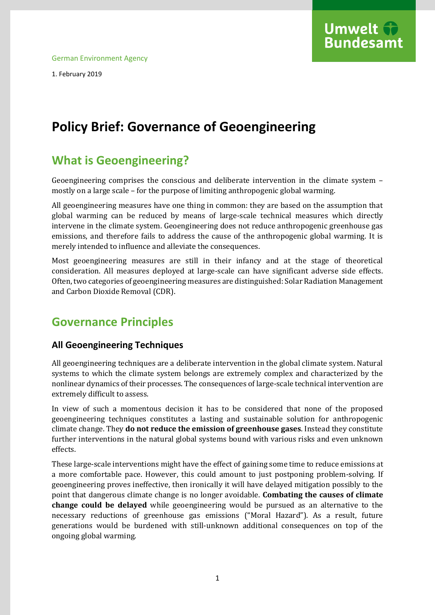

1. February 2019

# **Policy Brief: Governance of Geoengineering**

## **What is Geoengineering?**

Geoengineering comprises the conscious and deliberate intervention in the climate system – mostly on a large scale – for the purpose of limiting anthropogenic global warming.

All geoengineering measures have one thing in common: they are based on the assumption that global warming can be reduced by means of large-scale technical measures which directly intervene in the climate system. Geoengineering does not reduce anthropogenic greenhouse gas emissions, and therefore fails to address the cause of the anthropogenic global warming. It is merely intended to influence and alleviate the consequences.

Most geoengineering measures are still in their infancy and at the stage of theoretical consideration. All measures deployed at large-scale can have significant adverse side effects. Often, two categories of geoengineering measures are distinguished: Solar Radiation Management and Carbon Dioxide Removal (CDR).

## **Governance Principles**

#### **All Geoengineering Techniques**

All geoengineering techniques are a deliberate intervention in the global climate system. Natural systems to which the climate system belongs are extremely complex and characterized by the nonlinear dynamics of their processes. The consequences of large-scale technical intervention are extremely difficult to assess.

In view of such a momentous decision it has to be considered that none of the proposed geoengineering techniques constitutes a lasting and sustainable solution for anthropogenic climate change. They **do not reduce the emission of greenhouse gases**. Instead they constitute further interventions in the natural global systems bound with various risks and even unknown effects.

These large-scale interventions might have the effect of gaining some time to reduce emissions at a more comfortable pace. However, this could amount to just postponing problem-solving. If geoengineering proves ineffective, then ironically it will have delayed mitigation possibly to the point that dangerous climate change is no longer avoidable. **Combating the causes of climate change could be delayed** while geoengineering would be pursued as an alternative to the necessary reductions of greenhouse gas emissions ("Moral Hazard"). As a result, future generations would be burdened with still-unknown additional consequences on top of the ongoing global warming.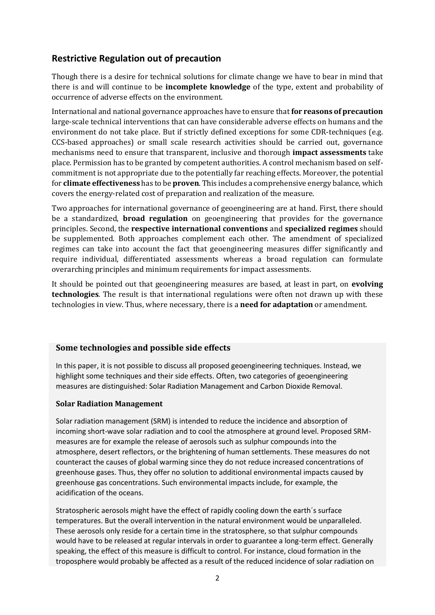### **Restrictive Regulation out of precaution**

Though there is a desire for technical solutions for climate change we have to bear in mind that there is and will continue to be **incomplete knowledge** of the type, extent and probability of occurrence of adverse effects on the environment.

International and national governance approaches have to ensure that **for reasons of precaution** large-scale technical interventions that can have considerable adverse effects on humans and the environment do not take place. But if strictly defined exceptions for some CDR-techniques (e.g. CCS-based approaches) or small scale research activities should be carried out, governance mechanisms need to ensure that transparent, inclusive and thorough **impact assessments** take place. Permission has to be granted by competent authorities. A control mechanism based on selfcommitment is not appropriate due to the potentially far reaching effects. Moreover, the potential for **climate effectiveness** has to be **proven**. This includes a comprehensive energy balance, which covers the energy-related cost of preparation and realization of the measure.

Two approaches for international governance of geoengineering are at hand. First, there should be a standardized, **broad regulation** on geoengineering that provides for the governance principles. Second, the **respective international conventions** and **specialized regimes** should be supplemented. Both approaches complement each other. The amendment of specialized regimes can take into account the fact that geoengineering measures differ significantly and require individual, differentiated assessments whereas a broad regulation can formulate overarching principles and minimum requirements for impact assessments.

It should be pointed out that geoengineering measures are based, at least in part, on **evolving technologies**. The result is that international regulations were often not drawn up with these technologies in view. Thus, where necessary, there is a **need for adaptation** or amendment.

#### **Some technologies and possible side effects**

In this paper, it is not possible to discuss all proposed geoengineering techniques. Instead, we highlight some techniques and their side effects. Often, two categories of geoengineering measures are distinguished: Solar Radiation Management and Carbon Dioxide Removal.

#### **Solar Radiation Management**

Solar radiation management (SRM) is intended to reduce the incidence and absorption of incoming short-wave solar radiation and to cool the atmosphere at ground level. Proposed SRMmeasures are for example the release of aerosols such as sulphur compounds into the atmosphere, desert reflectors, or the brightening of human settlements. These measures do not counteract the causes of global warming since they do not reduce increased concentrations of greenhouse gases. Thus, they offer no solution to additional environmental impacts caused by greenhouse gas concentrations. Such environmental impacts include, for example, the acidification of the oceans.

Stratospheric aerosols might have the effect of rapidly cooling down the earth´s surface temperatures. But the overall intervention in the natural environment would be unparalleled. These aerosols only reside for a certain time in the stratosphere, so that sulphur compounds would have to be released at regular intervals in order to guarantee a long-term effect. Generally speaking, the effect of this measure is difficult to control. For instance, cloud formation in the troposphere would probably be affected as a result of the reduced incidence of solar radiation on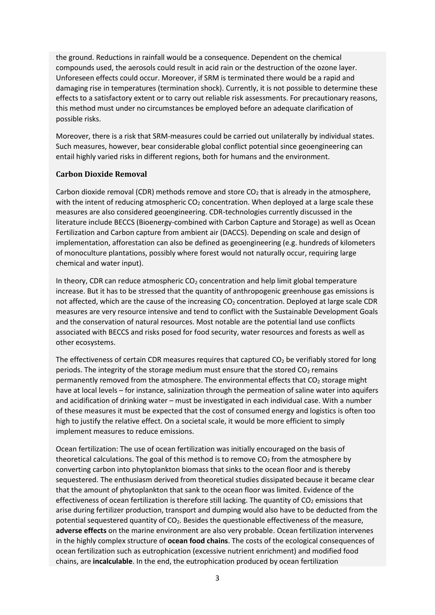the ground. Reductions in rainfall would be a consequence. Dependent on the chemical compounds used, the aerosols could result in acid rain or the destruction of the ozone layer. Unforeseen effects could occur. Moreover, if SRM is terminated there would be a rapid and damaging rise in temperatures (termination shock). Currently, it is not possible to determine these effects to a satisfactory extent or to carry out reliable risk assessments. For precautionary reasons, this method must under no circumstances be employed before an adequate clarification of possible risks.

Moreover, there is a risk that SRM-measures could be carried out unilaterally by individual states. Such measures, however, bear considerable global conflict potential since geoengineering can entail highly varied risks in different regions, both for humans and the environment.

#### **Carbon Dioxide Removal**

Carbon dioxide removal (CDR) methods remove and store  $CO<sub>2</sub>$  that is already in the atmosphere, with the intent of reducing atmospheric  $CO<sub>2</sub>$  concentration. When deployed at a large scale these measures are also considered geoengineering. CDR-technologies currently discussed in the literature include BECCS (Bioenergy-combined with Carbon Capture and Storage) as well as Ocean Fertilization and Carbon capture from ambient air (DACCS). Depending on scale and design of implementation, afforestation can also be defined as geoengineering (e.g. hundreds of kilometers of monoculture plantations, possibly where forest would not naturally occur, requiring large chemical and water input).

In theory, CDR can reduce atmospheric  $CO<sub>2</sub>$  concentration and help limit global temperature increase. But it has to be stressed that the quantity of anthropogenic greenhouse gas emissions is not affected, which are the cause of the increasing CO<sub>2</sub> concentration. Deployed at large scale CDR measures are very resource intensive and tend to conflict with the Sustainable Development Goals and the conservation of natural resources. Most notable are the potential land use conflicts associated with BECCS and risks posed for food security, water resources and forests as well as other ecosystems.

The effectiveness of certain CDR measures requires that captured  $CO<sub>2</sub>$  be verifiably stored for long periods. The integrity of the storage medium must ensure that the stored CO<sub>2</sub> remains permanently removed from the atmosphere. The environmental effects that  $CO<sub>2</sub>$  storage might have at local levels – for instance, salinization through the permeation of saline water into aquifers and acidification of drinking water – must be investigated in each individual case. With a number of these measures it must be expected that the cost of consumed energy and logistics is often too high to justify the relative effect. On a societal scale, it would be more efficient to simply implement measures to reduce emissions.

Ocean fertilization: The use of ocean fertilization was initially encouraged on the basis of theoretical calculations. The goal of this method is to remove  $CO<sub>2</sub>$  from the atmosphere by converting carbon into phytoplankton biomass that sinks to the ocean floor and is thereby sequestered. The enthusiasm derived from theoretical studies dissipated because it became clear that the amount of phytoplankton that sank to the ocean floor was limited. Evidence of the effectiveness of ocean fertilization is therefore still lacking. The quantity of  $CO<sub>2</sub>$  emissions that arise during fertilizer production, transport and dumping would also have to be deducted from the potential sequestered quantity of  $CO<sub>2</sub>$ . Besides the questionable effectiveness of the measure, **adverse effects** on the marine environment are also very probable. Ocean fertilization intervenes in the highly complex structure of **ocean food chains**. The costs of the ecological consequences of ocean fertilization such as eutrophication (excessive nutrient enrichment) and modified food chains, are **incalculable**. In the end, the eutrophication produced by ocean fertilization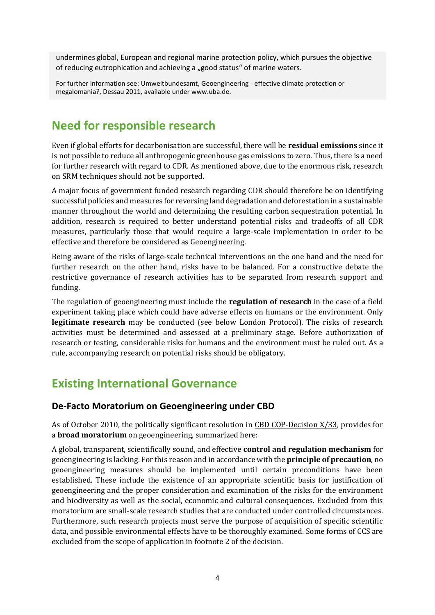undermines global, European and regional marine protection policy, which pursues the objective of reducing eutrophication and achieving a "good status" of marine waters.

For further Information see: [Umweltbundesamt, Geoengineering -](https://www.umweltbundesamt.de/sites/default/files/medien/publikation/long/4177.pdf) effective climate protection or [megalomania?,](https://www.umweltbundesamt.de/sites/default/files/medien/publikation/long/4177.pdf) Dessau 2011, available under www.uba.de.

# **Need for responsible research**

Even if global efforts for decarbonisation are successful, there will be **residual emissions** since it is not possible to reduce all anthropogenic greenhouse gas emissions to zero. Thus, there is a need for further research with regard to CDR. As mentioned above, due to the enormous risk, research on SRM techniques should not be supported.

A major focus of government funded research regarding CDR should therefore be on identifying successful policies and measures for reversing land degradation and deforestation in a sustainable manner throughout the world and determining the resulting carbon sequestration potential. In addition, research is required to better understand potential risks and tradeoffs of all CDR measures, particularly those that would require a large-scale implementation in order to be effective and therefore be considered as Geoengineering.

Being aware of the risks of large-scale technical interventions on the one hand and the need for further research on the other hand, risks have to be balanced. For a constructive debate the restrictive governance of research activities has to be separated from research support and funding.

The regulation of geoengineering must include the **regulation of research** in the case of a field experiment taking place which could have adverse effects on humans or the environment. Only **legitimate research** may be conducted (see below London Protocol). The risks of research activities must be determined and assessed at a preliminary stage. Before authorization of research or testing, considerable risks for humans and the environment must be ruled out. As a rule, accompanying research on potential risks should be obligatory.

## **Existing International Governance**

#### **De-Facto Moratorium on Geoengineering under CBD**

As of October 2010, the politically significant resolution in [CBD COP-Decision X/33,](https://www.cbd.int/climate/geoengineering/) provides for a **broad moratorium** on geoengineering, summarized here:

A global, transparent, scientifically sound, and effective **control and regulation mechanism** for geoengineering is lacking. For this reason and in accordance with the **principle of precaution**, no geoengineering measures should be implemented until certain preconditions have been established. These include the existence of an appropriate scientific basis for justification of geoengineering and the proper consideration and examination of the risks for the environment and biodiversity as well as the social, economic and cultural consequences. Excluded from this moratorium are small-scale research studies that are conducted under controlled circumstances. Furthermore, such research projects must serve the purpose of acquisition of specific scientific data, and possible environmental effects have to be thoroughly examined. Some forms of CCS are excluded from the scope of application in footnote 2 of the decision.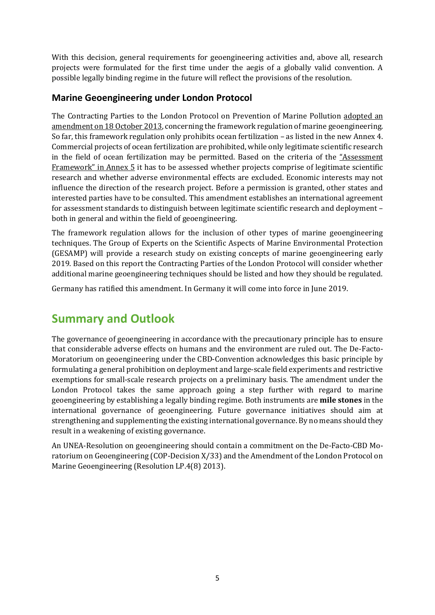With this decision, general requirements for geoengineering activities and, above all, research projects were formulated for the first time under the aegis of a globally valid convention. A possible legally binding regime in the future will reflect the provisions of the resolution.

### **Marine Geoengineering under London Protocol**

The Contracting Parties to the London Protocol on Prevention of Marine Pollution adopted an amendment on 18 October 2013, concerning the framework regulation of marine geoengineering. So far, this framework regulation only prohibits ocean fertilization – as listed in the new Annex 4. Commercial projects of ocean fertilization are prohibited, while only legitimate scientific research in the field of ocean fertilization may be permitted. Based on the [criteria of the](https://www.umweltbundesamt.de/sites/default/files/medien/376/dokumente/report_of_the_thirty-fifth_consultative_meeting_london_convention_2013_10_21.pdf) "Assessment [Framework" i](https://www.umweltbundesamt.de/sites/default/files/medien/376/dokumente/report_of_the_thirty-fifth_consultative_meeting_london_convention_2013_10_21.pdf)n Annex 5 it has to be assessed whether projects comprise of legitimate scientific research and whether adverse environmental effects are excluded. Economic interests may not influence the direction of the research project. Before a permission is granted, other states and interested parties have to be consulted. This amendment establishes an international agreement for assessment standards to distinguish between legitimate scientific research and deployment – both in general and within the field of geoengineering.

The framework regulation allows for the inclusion of other types of marine geoengineering techniques. The Group of Experts on the Scientific Aspects of Marine Environmental Protection (GESAMP) will provide a research study on existing concepts of marine geoengineering early 2019. Based on this report the Contracting Parties of the London Protocol will consider whether additional marine geoengineering techniques should be listed and how they should be regulated.

Germany has ratified this amendment. In Germany it will come into force in June 2019.

## **Summary and Outlook**

The governance of geoengineering in accordance with the precautionary principle has to ensure that considerable adverse effects on humans and the environment are ruled out. The De-Facto-Moratorium on geoengineering under the CBD-Convention acknowledges this basic principle by formulating a general prohibition on deployment and large-scale field experiments and restrictive exemptions for small-scale research projects on a preliminary basis. The amendment under the London Protocol takes the same approach going a step further with regard to marine geoengineering by establishing a legally binding regime. Both instruments are **mile stones** in the international governance of geoengineering. Future governance initiatives should aim at strengthening and supplementing the existing international governance. By no means should they result in a weakening of existing governance.

An UNEA-Resolution on geoengineering should contain a commitment on the De-Facto-CBD Moratorium on Geoengineering (COP-Decision X/33) and the Amendment of the London Protocol on Marine Geoengineering (Resolution LP.4(8) 2013).